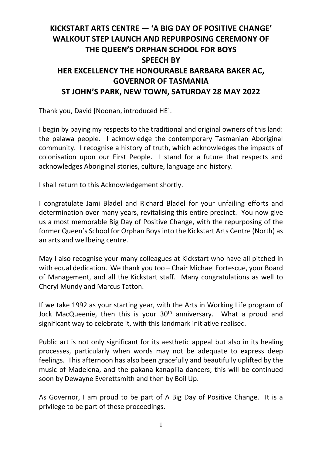## **KICKSTART ARTS CENTRE — 'A BIG DAY OF POSITIVE CHANGE' WALKOUT STEP LAUNCH AND REPURPOSING CEREMONY OF THE QUEEN'S ORPHAN SCHOOL FOR BOYS SPEECH BY HER EXCELLENCY THE HONOURABLE BARBARA BAKER AC, GOVERNOR OF TASMANIA ST JOHN'S PARK, NEW TOWN, SATURDAY 28 MAY 2022**

Thank you, David [Noonan, introduced HE].

I begin by paying my respects to the traditional and original owners of this land: the palawa people. I acknowledge the contemporary Tasmanian Aboriginal community. I recognise a history of truth, which acknowledges the impacts of colonisation upon our First People. I stand for a future that respects and acknowledges Aboriginal stories, culture, language and history.

I shall return to this Acknowledgement shortly.

I congratulate Jami Bladel and Richard Bladel for your unfailing efforts and determination over many years, revitalising this entire precinct. You now give us a most memorable Big Day of Positive Change, with the repurposing of the former Queen's School for Orphan Boys into the Kickstart Arts Centre (North) as an arts and wellbeing centre.

May I also recognise your many colleagues at Kickstart who have all pitched in with equal dedication. We thank you too – Chair Michael Fortescue, your Board of Management, and all the Kickstart staff. Many congratulations as well to Cheryl Mundy and Marcus Tatton.

If we take 1992 as your starting year, with the Arts in Working Life program of Jock MacQueenie, then this is your  $30<sup>th</sup>$  anniversary. What a proud and significant way to celebrate it, with this landmark initiative realised.

Public art is not only significant for its aesthetic appeal but also in its healing processes, particularly when words may not be adequate to express deep feelings. This afternoon has also been gracefully and beautifully uplifted by the music of Madelena, and the pakana kanaplila dancers; this will be continued soon by Dewayne Everettsmith and then by Boil Up.

As Governor, I am proud to be part of A Big Day of Positive Change. It is a privilege to be part of these proceedings.